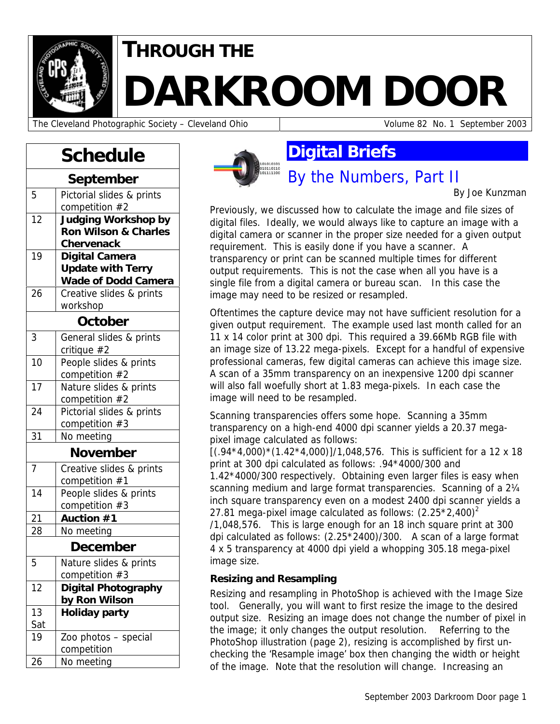

## **THROUGH THE**

# **DARKROOM DOOR**

The Cleveland Photographic Society – Cleveland Ohio Volume 82 No. 1 September 2003

## **Schedule**

| September       |                                             |  |  |  |
|-----------------|---------------------------------------------|--|--|--|
| 5               | Pictorial slides & prints<br>competition #2 |  |  |  |
| $\overline{12}$ | <b>Judging Workshop by</b>                  |  |  |  |
|                 | <b>Ron Wilson &amp; Charles</b>             |  |  |  |
|                 | <b>Chervenack</b>                           |  |  |  |
| 19              | <b>Digital Camera</b>                       |  |  |  |
|                 | <b>Update with Terry</b>                    |  |  |  |
|                 | <b>Wade of Dodd Camera</b>                  |  |  |  |
| 26              | Creative slides & prints                    |  |  |  |
|                 | workshop                                    |  |  |  |
| October         |                                             |  |  |  |
| 3               | General slides & prints                     |  |  |  |
|                 | critique #2                                 |  |  |  |
| 10              | People slides & prints                      |  |  |  |
|                 | competition #2                              |  |  |  |
| 17              | Nature slides & prints                      |  |  |  |
|                 | competition #2                              |  |  |  |
| 24              | Pictorial slides & prints                   |  |  |  |
|                 | competition #3                              |  |  |  |
| 31              | No meeting                                  |  |  |  |
| November        |                                             |  |  |  |
| $\overline{7}$  | Creative slides & prints                    |  |  |  |
|                 | competition #1                              |  |  |  |
| 14              | People slides & prints                      |  |  |  |
|                 | competition #3                              |  |  |  |
| 21              | Auction #1                                  |  |  |  |
| 28              | No meeting                                  |  |  |  |
| <b>December</b> |                                             |  |  |  |
| 5               | Nature slides & prints                      |  |  |  |
|                 | competition $#3$                            |  |  |  |
| 12              | <b>Digital Photography</b>                  |  |  |  |
|                 | by Ron Wilson                               |  |  |  |
| 13              | <b>Holiday party</b>                        |  |  |  |
| Sat             |                                             |  |  |  |
| 19              | Zoo photos - special                        |  |  |  |
|                 | competition                                 |  |  |  |
| 26              | No meeting                                  |  |  |  |



## **Digital Briefs**

By the Numbers, Part II

By Joe Kunzman

Previously, we discussed how to calculate the image and file sizes of digital files. Ideally, we would always like to capture an image with a digital camera or scanner in the proper size needed for a given output requirement. This is easily done if you have a scanner. A transparency or print can be scanned multiple times for different output requirements. This is not the case when all you have is a single file from a digital camera or bureau scan. In this case the image may need to be resized or resampled.

Oftentimes the capture device may not have sufficient resolution for a given output requirement. The example used last month called for an 11 x 14 color print at 300 dpi. This required a 39.66Mb RGB file with an image size of 13.22 mega-pixels. Except for a handful of expensive professional cameras, few digital cameras can achieve this image size. A scan of a 35mm transparency on an inexpensive 1200 dpi scanner will also fall woefully short at 1.83 mega-pixels. In each case the image will need to be resampled.

Scanning transparencies offers some hope. Scanning a 35mm transparency on a high-end 4000 dpi scanner yields a 20.37 megapixel image calculated as follows:

 $[(.94*4,000)*(1.42*4,000)]/1,048,576$ . This is sufficient for a 12 x 18 print at 300 dpi calculated as follows: .94\*4000/300 and

1.42\*4000/300 respectively. Obtaining even larger files is easy when scanning medium and large format transparencies. Scanning of a 2¼ inch square transparency even on a modest 2400 dpi scanner yields a 27.81 mega-pixel image calculated as follows:  $(2.25 * 2,400)^2$ 

/1,048,576. This is large enough for an 18 inch square print at 300 dpi calculated as follows: (2.25\*2400)/300. A scan of a large format 4 x 5 transparency at 4000 dpi yield a whopping 305.18 mega-pixel image size.

#### **Resizing and Resampling**

Resizing and resampling in PhotoShop is achieved with the Image Size tool. Generally, you will want to first resize the image to the desired output size. Resizing an image does not change the number of pixel in the image; it only changes the output resolution. Referring to the PhotoShop illustration (page 2), resizing is accomplished by first unchecking the 'Resample image' box then changing the width or height of the image. Note that the resolution will change. Increasing an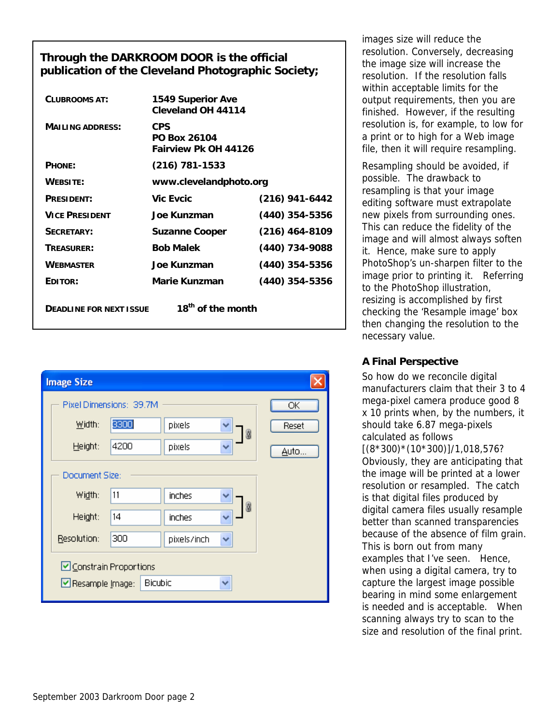#### **Through the DARKROOM DOOR is the official publication of the Cleveland Photographic Society;**

| <b>CLUBROOMS AT:</b>                                            | <b>1549 Superior Ave</b><br>Cleveland OH 44114     |                  |  |  |
|-----------------------------------------------------------------|----------------------------------------------------|------------------|--|--|
| <b>MAILING ADDRESS:</b>                                         | <b>CPS</b><br>PO Box 26104<br>Fairview Pk OH 44126 |                  |  |  |
| PHONE:                                                          | $(216)$ 781-1533                                   |                  |  |  |
| <b>WEBSITE:</b>                                                 | www.clevelandphoto.org                             |                  |  |  |
| PRESIDENT:                                                      | <b>Vic Evcic</b>                                   | $(216)$ 941-6442 |  |  |
| <b>VICE PRESIDENT</b>                                           | Joe Kunzman                                        | $(440)$ 354-5356 |  |  |
| SECRETARY:                                                      | <b>Suzanne Cooper</b>                              | (216) 464-8109   |  |  |
| TREASURER:                                                      | <b>Bob Malek</b>                                   | (440) 734-9088   |  |  |
| <b>WEBMASTER</b>                                                | Joe Kunzman                                        | $(440)$ 354-5356 |  |  |
| EDITOR:                                                         | Marie Kunzman                                      | (440) 354-5356   |  |  |
| 18 <sup>th</sup> of the month<br><b>DEADLINE FOR NEXT ISSUE</b> |                                                    |                  |  |  |



images size will reduce the resolution. Conversely, decreasing the image size will increase the resolution. If the resolution falls within acceptable limits for the output requirements, then you are finished. However, if the resulting resolution is, for example, to low for a print or to high for a Web image file, then it will require resampling.

Resampling should be avoided, if possible. The drawback to resampling is that your image editing software must extrapolate new pixels from surrounding ones. This can reduce the fidelity of the image and will almost always soften it. Hence, make sure to apply PhotoShop's un-sharpen filter to the image prior to printing it. Referring to the PhotoShop illustration, resizing is accomplished by first checking the 'Resample image' box then changing the resolution to the necessary value.

#### **A Final Perspective**

So how do we reconcile digital manufacturers claim that their 3 to 4 mega-pixel camera produce good 8 x 10 prints when, by the numbers, it should take 6.87 mega-pixels calculated as follows [(8\*300)\*(10\*300)]/1,018,576? Obviously, they are anticipating that the image will be printed at a lower resolution or resampled. The catch is that digital files produced by digital camera files usually resample better than scanned transparencies because of the absence of film grain. This is born out from many examples that I've seen. Hence, when using a digital camera, try to capture the largest image possible bearing in mind some enlargement is needed and is acceptable. When scanning always try to scan to the size and resolution of the final print.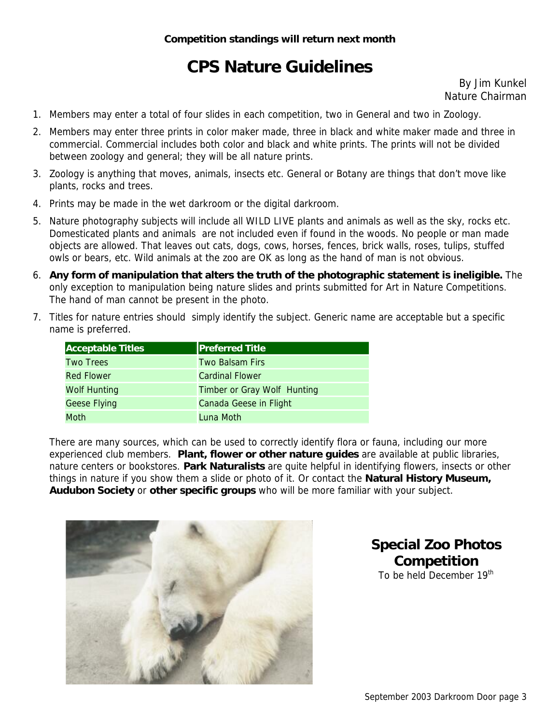## **CPS Nature Guidelines**

By Jim Kunkel Nature Chairman

- 1. Members may enter a total of four slides in each competition, two in General and two in Zoology.
- 2. Members may enter three prints in color maker made, three in black and white maker made and three in commercial. Commercial includes both color and black and white prints. The prints will not be divided between zoology and general; they will be all nature prints.
- 3. Zoology is anything that moves, animals, insects etc. General or Botany are things that don't move like plants, rocks and trees.
- 4. Prints may be made in the wet darkroom or the digital darkroom.
- 5. Nature photography subjects will include all WILD LIVE plants and animals as well as the sky, rocks etc. Domesticated plants and animals are not included even if found in the woods. No people or man made objects are allowed. That leaves out cats, dogs, cows, horses, fences, brick walls, roses, tulips, stuffed owls or bears, etc. Wild animals at the zoo are OK as long as the hand of man is not obvious.
- 6. **Any form of manipulation that alters the truth of the photographic statement is ineligible.** The only exception to manipulation being nature slides and prints submitted for Art in Nature Competitions. The hand of man cannot be present in the photo.
- 7. Titles for nature entries should simply identify the subject. Generic name are acceptable but a specific name is preferred.

| <b>Acceptable Titles</b> | <b>Preferred Title</b>      |
|--------------------------|-----------------------------|
| <b>Two Trees</b>         | Two Balsam Firs             |
| <b>Red Flower</b>        | <b>Cardinal Flower</b>      |
| <b>Wolf Hunting</b>      | Timber or Gray Wolf Hunting |
| <b>Geese Flying</b>      | Canada Geese in Flight      |
| Moth                     | Luna Moth                   |

There are many sources, which can be used to correctly identify flora or fauna, including our more experienced club members. **Plant, flower or other nature guides** are available at public libraries, nature centers or bookstores. **Park Naturalists** are quite helpful in identifying flowers, insects or other things in nature if you show them a slide or photo of it. Or contact the **Natural History Museum, Audubon Society** or **other specific groups** who will be more familiar with your subject.



#### **Special Zoo Photos Competition**  To be held December 19<sup>th</sup>